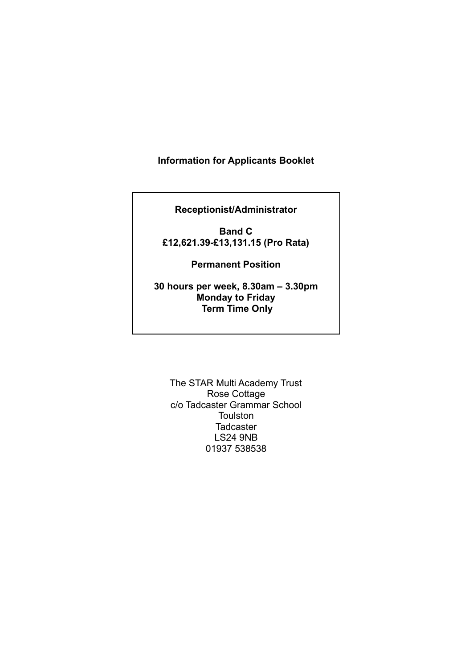### **Information for Applicants Booklet**

**Receptionist/Administrator**

**Band C £12,621.39-£13,131.15 (Pro Rata)**

**Permanent Position**

**30 hours per week, 8.30am – 3.30pm Monday to Friday Term Time Only**

The STAR Multi Academy Trust Rose Cottage c/o Tadcaster Grammar School Toulston **Tadcaster** LS24 9NB 01937 538538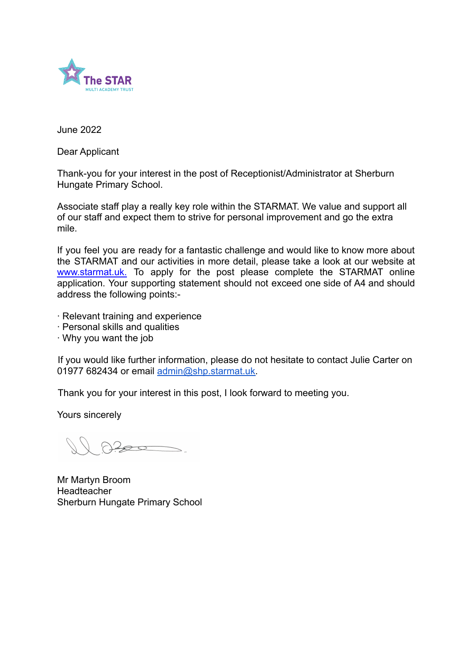

June 2022

Dear Applicant

Thank-you for your interest in the post of Receptionist/Administrator at Sherburn Hungate Primary School.

Associate staff play a really key role within the STARMAT. We value and support all of our staff and expect them to strive for personal improvement and go the extra mile.

If you feel you are ready for a fantastic challenge and would like to know more about the STARMAT and our activities in more detail, please take a look at our website at www.starmat.uk. To apply for the post please complete the STARMAT online application. Your supporting statement should not exceed one side of A4 and should address the following points:-

- ∙ Relevant training and experience
- ∙ Personal skills and qualities
- ∙ Why you want the job

If you would like further information, please do not hesitate to contact Julie Carter on 01977 682434 or email [admin@shp.starmat.uk.](mailto:admin@shp.starmat.uk)

Thank you for your interest in this post, I look forward to meeting you.

Yours sincerely

Mr Martyn Broom **Headteacher** Sherburn Hungate Primary School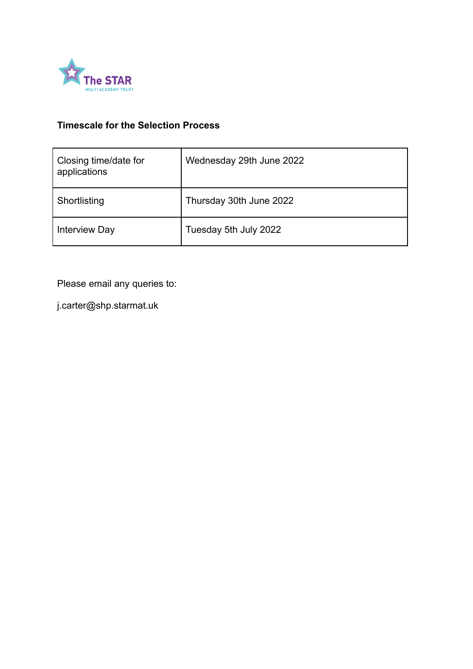

## **Timescale for the Selection Process**

| Closing time/date for<br>applications | Wednesday 29th June 2022 |
|---------------------------------------|--------------------------|
| Shortlisting                          | Thursday 30th June 2022  |
| <b>Interview Day</b>                  | Tuesday 5th July 2022    |

Please email any queries to:

j.carter@shp.starmat.uk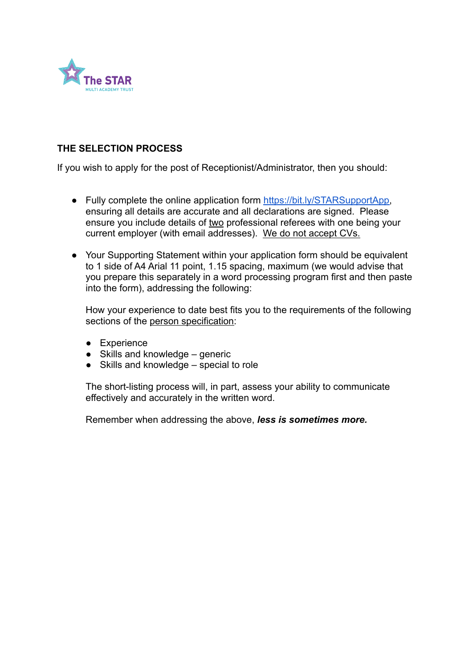

### **THE SELECTION PROCESS**

If you wish to apply for the post of Receptionist/Administrator, then you should:

- Fully complete the online application form [https://bit.ly/STARSupportApp,](https://bit.ly/STARSupportApp) ensuring all details are accurate and all declarations are signed. Please ensure you include details of two professional referees with one being your current employer (with email addresses). We do not accept CVs.
- Your Supporting Statement within your application form should be equivalent to 1 side of A4 Arial 11 point, 1.15 spacing, maximum (we would advise that you prepare this separately in a word processing program first and then paste into the form), addressing the following:

How your experience to date best fits you to the requirements of the following sections of the person specification:

- Experience
- $\bullet$  Skills and knowledge generic
- Skills and knowledge special to role

The short-listing process will, in part, assess your ability to communicate effectively and accurately in the written word.

Remember when addressing the above, *less is sometimes more.*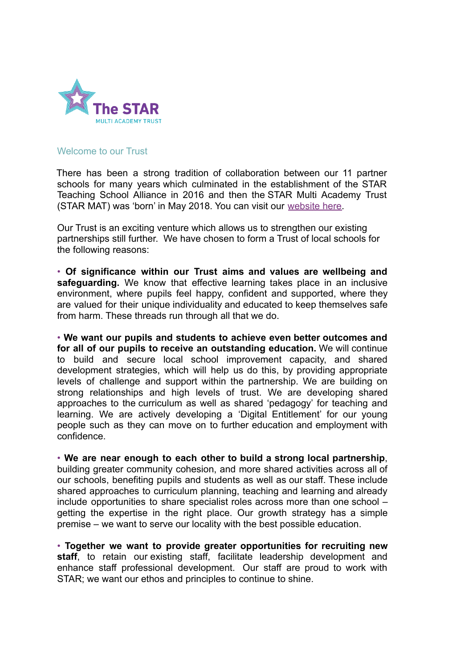

#### Welcome to our Trust

There has been a strong tradition of collaboration between our 11 partner schools for many years which culminated in the establishment of the STAR Teaching School Alliance in 2016 and then the STAR Multi Academy Trust (STAR MAT) was 'born' in May 2018. You can visit our website here.

Our Trust is an exciting venture which allows us to strengthen our existing partnerships still further. We have chosen to form a Trust of local schools for the following reasons:

• **Of significance within our Trust aims and values are wellbeing and safeguarding.** We know that effective learning takes place in an inclusive environment, where pupils feel happy, confident and supported, where they are valued for their unique individuality and educated to keep themselves safe from harm. These threads run through all that we do.

• **We want our pupils and students to achieve even better outcomes and for all of our pupils to receive an outstanding education.** We will continue to build and secure local school improvement capacity, and shared development strategies, which will help us do this, by providing appropriate levels of challenge and support within the partnership. We are building on strong relationships and high levels of trust. We are developing shared approaches to the curriculum as well as shared 'pedagogy' for teaching and learning. We are actively developing a 'Digital Entitlement' for our young people such as they can move on to further education and employment with confidence.

• **We are near enough to each other to build a strong local partnership**, building greater community cohesion, and more shared activities across all of our schools, benefiting pupils and students as well as our staff. These include shared approaches to curriculum planning, teaching and learning and already include opportunities to share specialist roles across more than one school – getting the expertise in the right place. Our growth strategy has a simple premise – we want to serve our locality with the best possible education.

• **Together we want to provide greater opportunities for recruiting new staff**, to retain our existing staff, facilitate leadership development and enhance staff professional development. Our staff are proud to work with STAR; we want our ethos and principles to continue to shine.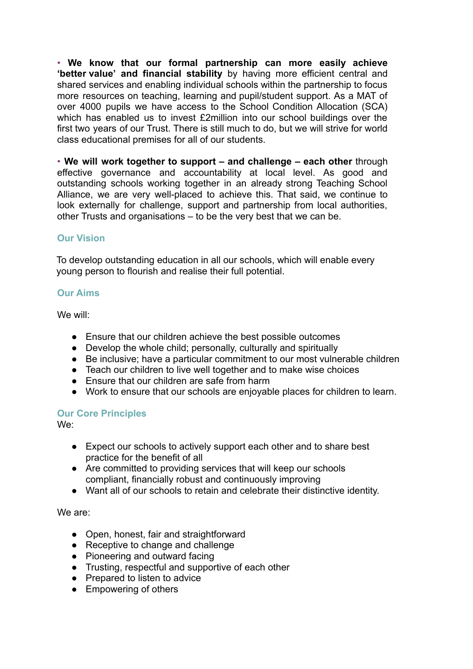• **We know that our formal partnership can more easily achieve 'better value' and financial stability** by having more efficient central and shared services and enabling individual schools within the partnership to focus more resources on teaching, learning and pupil/student support. As a MAT of over 4000 pupils we have access to the School Condition Allocation (SCA) which has enabled us to invest £2million into our school buildings over the first two years of our Trust. There is still much to do, but we will strive for world class educational premises for all of our students.

• **We will work together to support – and challenge – each other** through effective governance and accountability at local level. As good and outstanding schools working together in an already strong Teaching School Alliance, we are very well-placed to achieve this. That said, we continue to look externally for challenge, support and partnership from local authorities, other Trusts and organisations – to be the very best that we can be.

### **Our Vision**

To develop outstanding education in all our schools, which will enable every young person to flourish and realise their full potential.

### **Our Aims**

We will:

- Ensure that our children achieve the best possible outcomes
- Develop the whole child; personally, culturally and spiritually
- Be inclusive; have a particular commitment to our most vulnerable children
- Teach our children to live well together and to make wise choices
- Ensure that our children are safe from harm
- Work to ensure that our schools are enjoyable places for children to learn.

### **Our Core Principles**

We:

- Expect our schools to actively support each other and to share best practice for the benefit of all
- Are committed to providing services that will keep our schools compliant, financially robust and continuously improving
- Want all of our schools to retain and celebrate their distinctive identity.

We are:

- Open, honest, fair and straightforward
- Receptive to change and challenge
- Pioneering and outward facing
- Trusting, respectful and supportive of each other
- Prepared to listen to advice
- Empowering of others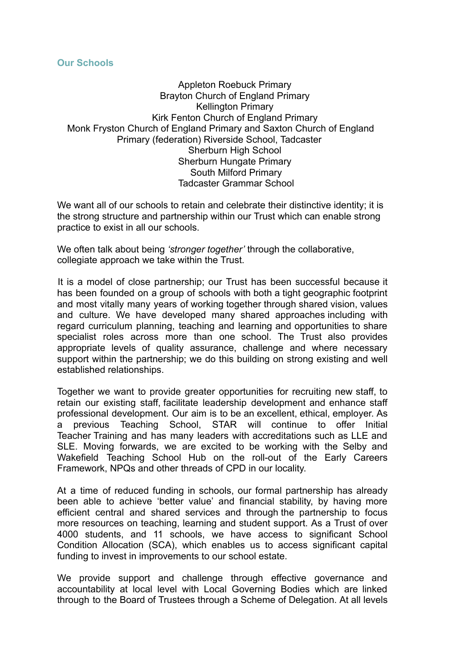#### **Our Schools**

Appleton Roebuck Primary Brayton Church of England Primary Kellington Primary Kirk Fenton Church of England Primary Monk Fryston Church of England Primary and Saxton Church of England Primary (federation) Riverside School, Tadcaster Sherburn High School Sherburn Hungate Primary South Milford Primary Tadcaster Grammar School

We want all of our schools to retain and celebrate their distinctive identity; it is the strong structure and partnership within our Trust which can enable strong practice to exist in all our schools.

We often talk about being *'stronger together'* through the collaborative, collegiate approach we take within the Trust.

It is a model of close partnership; our Trust has been successful because it has been founded on a group of schools with both a tight geographic footprint and most vitally many years of working together through shared vision, values and culture. We have developed many shared approaches including with regard curriculum planning, teaching and learning and opportunities to share specialist roles across more than one school. The Trust also provides appropriate levels of quality assurance, challenge and where necessary support within the partnership; we do this building on strong existing and well established relationships.

Together we want to provide greater opportunities for recruiting new staff, to retain our existing staff, facilitate leadership development and enhance staff professional development. Our aim is to be an excellent, ethical, employer. As a previous Teaching School, STAR will continue to offer Initial Teacher Training and has many leaders with accreditations such as LLE and SLE. Moving forwards, we are excited to be working with the Selby and Wakefield Teaching School Hub on the roll-out of the Early Careers Framework, NPQs and other threads of CPD in our locality.

At a time of reduced funding in schools, our formal partnership has already been able to achieve 'better value' and financial stability, by having more efficient central and shared services and through the partnership to focus more resources on teaching, learning and student support. As a Trust of over 4000 students, and 11 schools, we have access to significant School Condition Allocation (SCA), which enables us to access significant capital funding to invest in improvements to our school estate.

We provide support and challenge through effective governance and accountability at local level with Local Governing Bodies which are linked through to the Board of Trustees through a Scheme of Delegation. At all levels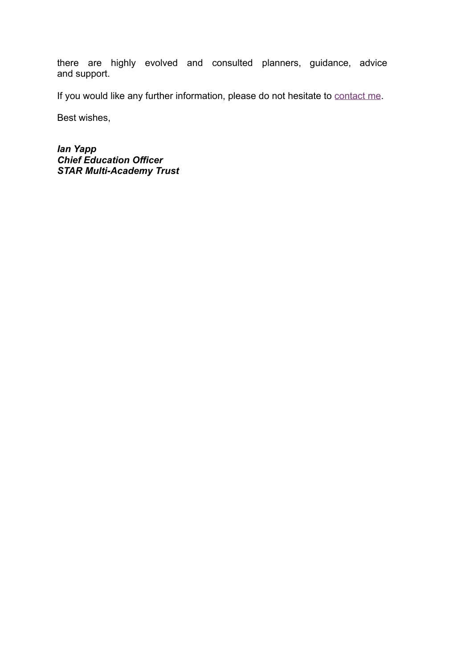there are highly evolved and consulted planners, guidance, advice and support.

If you would like any further information, please do not hesitate to contact me.

Best wishes,

*Ian Yapp Chief Education Officer STAR Multi-Academy Trust*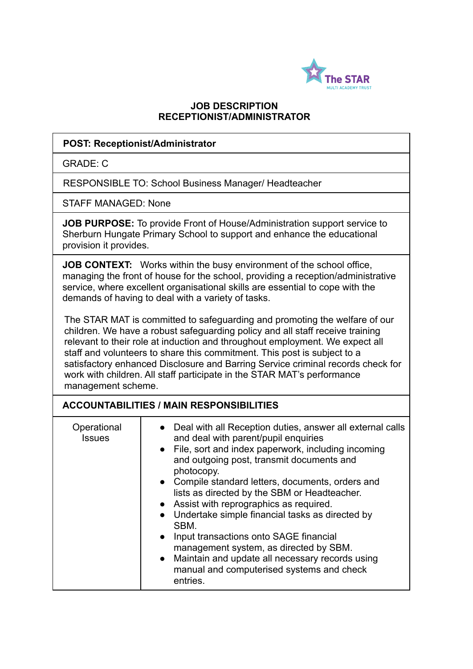

### **JOB DESCRIPTION RECEPTIONIST/ADMINISTRATOR**

#### **POST: Receptionist/Administrator**

GRADE: C

RESPONSIBLE TO: School Business Manager/ Headteacher

STAFF MANAGED: None

**JOB PURPOSE:** To provide Front of House/Administration support service to Sherburn Hungate Primary School to support and enhance the educational provision it provides.

**JOB CONTEXT:** Works within the busy environment of the school office, managing the front of house for the school, providing a reception/administrative service, where excellent organisational skills are essential to cope with the demands of having to deal with a variety of tasks.

The STAR MAT is committed to safeguarding and promoting the welfare of our children. We have a robust safeguarding policy and all staff receive training relevant to their role at induction and throughout employment. We expect all staff and volunteers to share this commitment. This post is subject to a satisfactory enhanced Disclosure and Barring Service criminal records check for work with children. All staff participate in the STAR MAT's performance management scheme.

### **ACCOUNTABILITIES / MAIN RESPONSIBILITIES**

| Operational<br><b>Issues</b> | Deal with all Reception duties, answer all external calls<br>and deal with parent/pupil enquiries<br>• File, sort and index paperwork, including incoming<br>and outgoing post, transmit documents and<br>photocopy.<br>• Compile standard letters, documents, orders and<br>lists as directed by the SBM or Headteacher.<br>• Assist with reprographics as required.<br>Undertake simple financial tasks as directed by<br>SBM.<br>Input transactions onto SAGE financial<br>$\bullet$<br>management system, as directed by SBM.<br>Maintain and update all necessary records using<br>$\bullet$<br>manual and computerised systems and check |
|------------------------------|------------------------------------------------------------------------------------------------------------------------------------------------------------------------------------------------------------------------------------------------------------------------------------------------------------------------------------------------------------------------------------------------------------------------------------------------------------------------------------------------------------------------------------------------------------------------------------------------------------------------------------------------|
|                              | entries.                                                                                                                                                                                                                                                                                                                                                                                                                                                                                                                                                                                                                                       |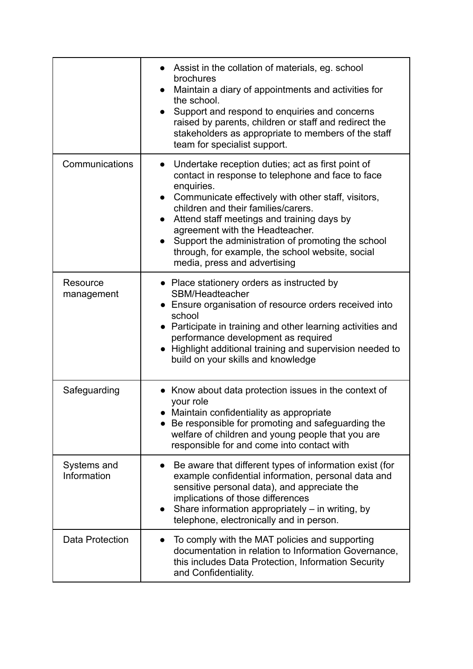|                            | Assist in the collation of materials, eg. school<br>brochures<br>Maintain a diary of appointments and activities for<br>the school.<br>Support and respond to enquiries and concerns<br>$\bullet$<br>raised by parents, children or staff and redirect the<br>stakeholders as appropriate to members of the staff<br>team for specialist support.                                                                                                                                    |
|----------------------------|--------------------------------------------------------------------------------------------------------------------------------------------------------------------------------------------------------------------------------------------------------------------------------------------------------------------------------------------------------------------------------------------------------------------------------------------------------------------------------------|
| Communications             | Undertake reception duties; act as first point of<br>$\bullet$<br>contact in response to telephone and face to face<br>enquiries.<br>Communicate effectively with other staff, visitors,<br>$\bullet$<br>children and their families/carers.<br>Attend staff meetings and training days by<br>agreement with the Headteacher.<br>Support the administration of promoting the school<br>$\bullet$<br>through, for example, the school website, social<br>media, press and advertising |
| Resource<br>management     | • Place stationery orders as instructed by<br>SBM/Headteacher<br>• Ensure organisation of resource orders received into<br>school<br>• Participate in training and other learning activities and<br>performance development as required<br>• Highlight additional training and supervision needed to<br>build on your skills and knowledge                                                                                                                                           |
| Safeguarding               | • Know about data protection issues in the context of<br>your role<br>• Maintain confidentiality as appropriate<br>Be responsible for promoting and safeguarding the<br>welfare of children and young people that you are<br>responsible for and come into contact with                                                                                                                                                                                                              |
| Systems and<br>Information | Be aware that different types of information exist (for<br>example confidential information, personal data and<br>sensitive personal data), and appreciate the<br>implications of those differences<br>Share information appropriately $-$ in writing, by<br>$\bullet$<br>telephone, electronically and in person.                                                                                                                                                                   |
| Data Protection            | To comply with the MAT policies and supporting<br>documentation in relation to Information Governance,<br>this includes Data Protection, Information Security<br>and Confidentiality.                                                                                                                                                                                                                                                                                                |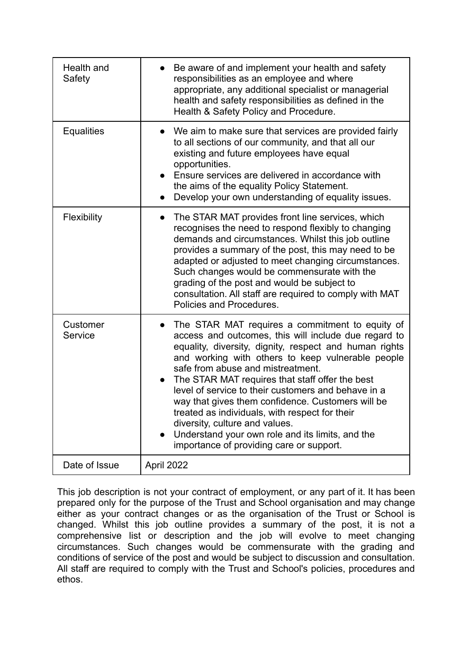| Health and<br>Safety | Be aware of and implement your health and safety<br>responsibilities as an employee and where<br>appropriate, any additional specialist or managerial<br>health and safety responsibilities as defined in the<br>Health & Safety Policy and Procedure.                                                                                                                                                                                                                                                                                                                                                         |
|----------------------|----------------------------------------------------------------------------------------------------------------------------------------------------------------------------------------------------------------------------------------------------------------------------------------------------------------------------------------------------------------------------------------------------------------------------------------------------------------------------------------------------------------------------------------------------------------------------------------------------------------|
| <b>Equalities</b>    | We aim to make sure that services are provided fairly<br>to all sections of our community, and that all our<br>existing and future employees have equal<br>opportunities.<br>Ensure services are delivered in accordance with<br>the aims of the equality Policy Statement.<br>Develop your own understanding of equality issues.                                                                                                                                                                                                                                                                              |
| Flexibility          | The STAR MAT provides front line services, which<br>recognises the need to respond flexibly to changing<br>demands and circumstances. Whilst this job outline<br>provides a summary of the post, this may need to be<br>adapted or adjusted to meet changing circumstances.<br>Such changes would be commensurate with the<br>grading of the post and would be subject to<br>consultation. All staff are required to comply with MAT<br>Policies and Procedures.                                                                                                                                               |
| Customer<br>Service  | The STAR MAT requires a commitment to equity of<br>access and outcomes, this will include due regard to<br>equality, diversity, dignity, respect and human rights<br>and working with others to keep vulnerable people<br>safe from abuse and mistreatment.<br>The STAR MAT requires that staff offer the best<br>level of service to their customers and behave in a<br>way that gives them confidence. Customers will be<br>treated as individuals, with respect for their<br>diversity, culture and values.<br>Understand your own role and its limits, and the<br>importance of providing care or support. |
| Date of Issue        | April 2022                                                                                                                                                                                                                                                                                                                                                                                                                                                                                                                                                                                                     |

This job description is not your contract of employment, or any part of it. It has been prepared only for the purpose of the Trust and School organisation and may change either as your contract changes or as the organisation of the Trust or School is changed. Whilst this job outline provides a summary of the post, it is not a comprehensive list or description and the job will evolve to meet changing circumstances. Such changes would be commensurate with the grading and conditions of service of the post and would be subject to discussion and consultation. All staff are required to comply with the Trust and School's policies, procedures and ethos.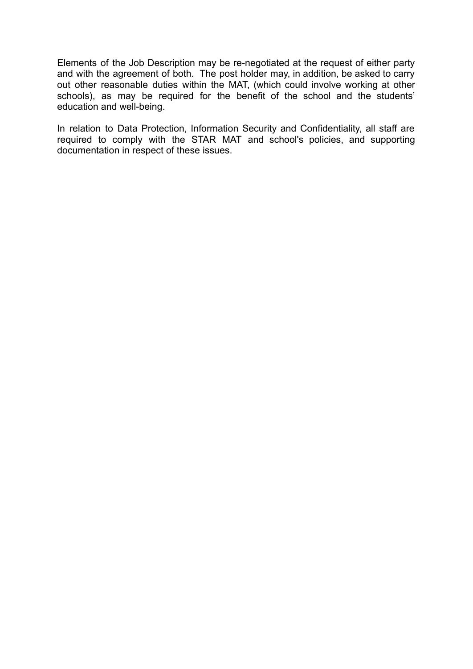Elements of the Job Description may be re-negotiated at the request of either party and with the agreement of both. The post holder may, in addition, be asked to carry out other reasonable duties within the MAT, (which could involve working at other schools), as may be required for the benefit of the school and the students' education and well-being.

In relation to Data Protection, Information Security and Confidentiality, all staff are required to comply with the STAR MAT and school's policies, and supporting documentation in respect of these issues.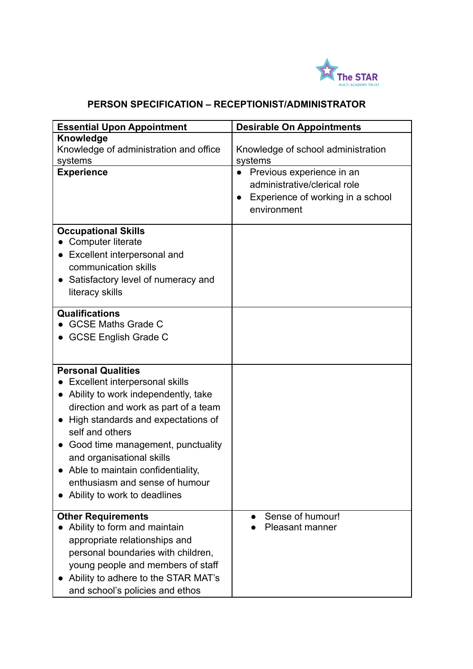

# **PERSON SPECIFICATION – RECEPTIONIST/ADMINISTRATOR**

| <b>Essential Upon Appointment</b>                | <b>Desirable On Appointments</b>               |
|--------------------------------------------------|------------------------------------------------|
| Knowledge                                        |                                                |
| Knowledge of administration and office           | Knowledge of school administration             |
| systems                                          | systems                                        |
| <b>Experience</b>                                | Previous experience in an                      |
|                                                  | administrative/clerical role                   |
|                                                  | Experience of working in a school<br>$\bullet$ |
|                                                  | environment                                    |
| <b>Occupational Skills</b>                       |                                                |
| Computer literate                                |                                                |
| Excellent interpersonal and                      |                                                |
| communication skills                             |                                                |
| Satisfactory level of numeracy and               |                                                |
| literacy skills                                  |                                                |
|                                                  |                                                |
| Qualifications                                   |                                                |
| <b>GCSE Maths Grade C</b>                        |                                                |
| <b>GCSE English Grade C</b>                      |                                                |
|                                                  |                                                |
| <b>Personal Qualities</b>                        |                                                |
| Excellent interpersonal skills                   |                                                |
| Ability to work independently, take<br>$\bullet$ |                                                |
| direction and work as part of a team             |                                                |
| High standards and expectations of<br>$\bullet$  |                                                |
| self and others                                  |                                                |
| Good time management, punctuality                |                                                |
| and organisational skills                        |                                                |
| Able to maintain confidentiality,                |                                                |
| enthusiasm and sense of humour                   |                                                |
| Ability to work to deadlines                     |                                                |
|                                                  |                                                |
| <b>Other Requirements</b>                        | Sense of humour!                               |
| Ability to form and maintain                     | <b>Pleasant manner</b>                         |
| appropriate relationships and                    |                                                |
| personal boundaries with children,               |                                                |
| young people and members of staff                |                                                |
| Ability to adhere to the STAR MAT's              |                                                |
| and school's policies and ethos                  |                                                |